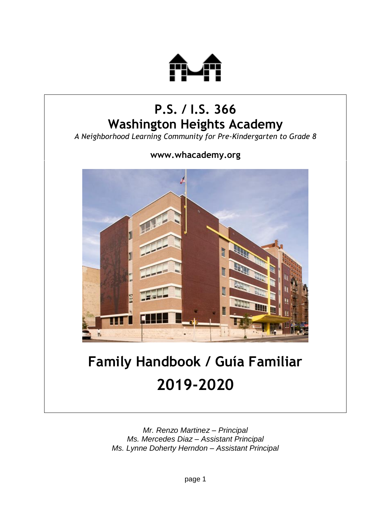

## **P.S. / I.S. 366 Washington Heights Academy**

*A Neighborhood Learning Community for Pre-Kindergarten to Grade 8*

**www.whacademy.org**



# **Family Handbook / Guía Familiar 2019-2020**

*Mr. Renzo Martinez – Principal Ms. Mercedes Diaz – Assistant Principal Ms. Lynne Doherty Herndon – Assistant Principal*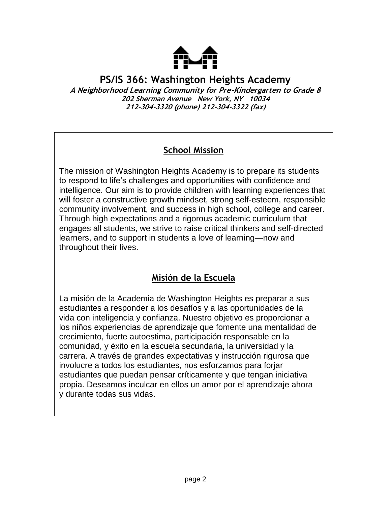

**PS/IS 366: Washington Heights Academy A Neighborhood Learning Community for Pre-Kindergarten to Grade 8 202 Sherman Avenue New York, NY 10034 212-304-3320 (phone) 212-304-3322 (fax)**

## **School Mission**

The mission of Washington Heights Academy is to prepare its students to respond to life's challenges and opportunities with confidence and intelligence. Our aim is to provide children with learning experiences that will foster a constructive growth mindset, strong self-esteem, responsible community involvement, and success in high school, college and career. Through high expectations and a rigorous academic curriculum that engages all students, we strive to raise critical thinkers and self-directed learners, and to support in students a love of learning—now and throughout their lives.

## **Misión de la Escuela**

La misión de la Academia de Washington Heights es preparar a sus estudiantes a responder a los desafíos y a las oportunidades de la vida con inteligencia y confianza. Nuestro objetivo es proporcionar a los niños experiencias de aprendizaje que fomente una mentalidad de crecimiento, fuerte autoestima, participación responsable en la comunidad, y éxito en la escuela secundaria, la universidad y la carrera. A través de grandes expectativas y instrucción rigurosa que involucre a todos los estudiantes, nos esforzamos para forjar estudiantes que puedan pensar críticamente y que tengan iniciativa propia. Deseamos inculcar en ellos un amor por el aprendizaje ahora y durante todas sus vidas.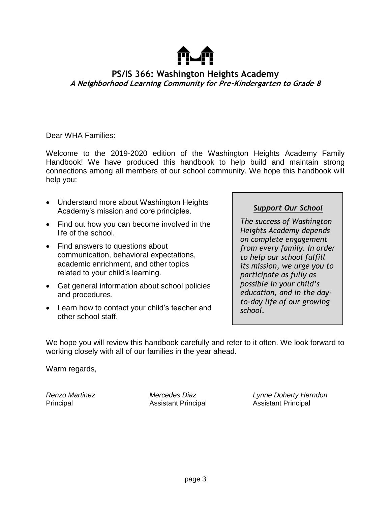

#### **PS/IS 366: Washington Heights Academy A Neighborhood Learning Community for Pre-Kindergarten to Grade 8**

Dear WHA Families:

Welcome to the 2019-2020 edition of the Washington Heights Academy Family Handbook! We have produced this handbook to help build and maintain strong connections among all members of our school community. We hope this handbook will help you:

- Understand more about Washington Heights Academy's mission and core principles.
- Find out how you can become involved in the life of the school.
- Find answers to questions about communication, behavioral expectations, academic enrichment, and other topics related to your child's learning.
- Get general information about school policies and procedures.
- Learn how to contact your child's teacher and other school staff.

#### *Support Our School*

*The success of Washington Heights Academy depends on complete engagement from every family. In order to help our school fulfill its mission, we urge you to participate as fully as possible in your child's education, and in the dayto-day life of our growing school.*

We hope you will review this handbook carefully and refer to it often. We look forward to working closely with all of our families in the year ahead.

Warm regards,

*Renzo Martinez Mercedes Diaz Lynne Doherty Herndon* Principal Assistant Principal Assistant Principal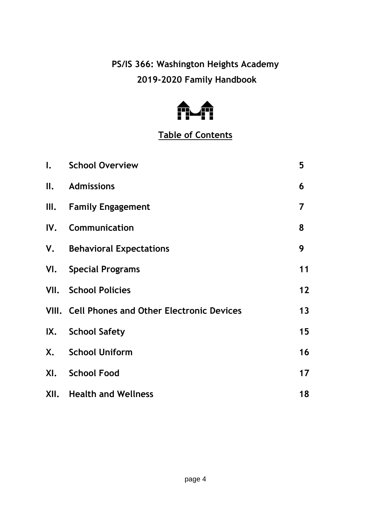**PS/IS 366: Washington Heights Academy 2019-2020 Family Handbook**



## **Table of Contents**

|    | I. School Overview                             | 5  |
|----|------------------------------------------------|----|
| Ⅱ. | <b>Admissions</b>                              | 6  |
|    | III. Family Engagement                         | 7  |
|    | IV. Communication                              | 8  |
|    | V. Behavioral Expectations                     | 9  |
|    | VI. Special Programs                           | 11 |
|    | <b>VII.</b> School Policies                    | 12 |
|    | VIII. Cell Phones and Other Electronic Devices | 13 |
|    | IX. School Safety                              | 15 |
|    | X. School Uniform                              | 16 |
|    | XI. School Food                                | 17 |
|    | <b>XII.</b> Health and Wellness                | 18 |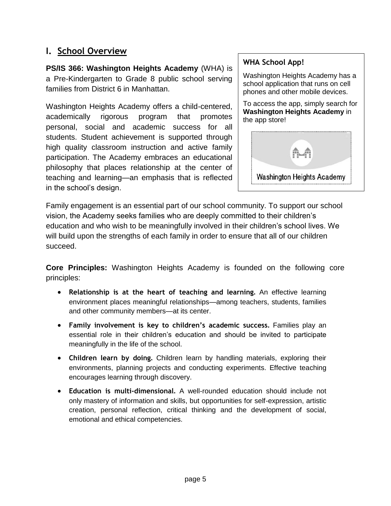## **I. School Overview**

**PS/IS 366: Washington Heights Academy** (WHA) is a Pre-Kindergarten to Grade 8 public school serving families from District 6 in Manhattan.

Washington Heights Academy offers a child-centered, academically rigorous program that promotes personal, social and academic success for all students. Student achievement is supported through high quality classroom instruction and active family participation. The Academy embraces an educational philosophy that places relationship at the center of teaching and learning—an emphasis that is reflected in the school's design.

#### **WHA School App!**

Washington Heights Academy has a school application that runs on cell phones and other mobile devices.

To access the app, simply search for **Washington Heights Academy** in the app store!



Family engagement is an essential part of our school community. To support our school vision, the Academy seeks families who are deeply committed to their children's education and who wish to be meaningfully involved in their children's school lives. We will build upon the strengths of each family in order to ensure that all of our children succeed.

**Core Principles:** Washington Heights Academy is founded on the following core principles:

- **Relationship is at the heart of teaching and learning.** An effective learning environment places meaningful relationships—among teachers, students, families and other community members—at its center.
- **Family involvement is key to children's academic success.** Families play an essential role in their children's education and should be invited to participate meaningfully in the life of the school.
- **Children learn by doing.** Children learn by handling materials, exploring their environments, planning projects and conducting experiments. Effective teaching encourages learning through discovery.
- **Education is multi-dimensional.** A well-rounded education should include not only mastery of information and skills, but opportunities for self-expression, artistic creation, personal reflection, critical thinking and the development of social, emotional and ethical competencies.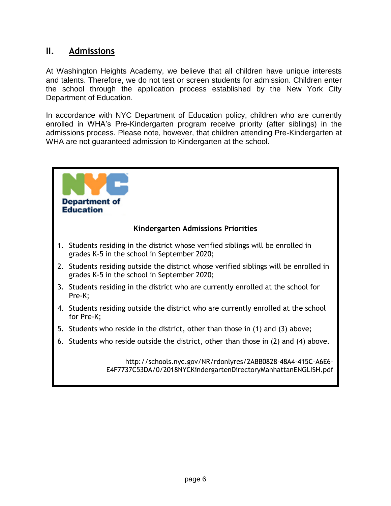#### **II. Admissions**

At Washington Heights Academy, we believe that all children have unique interests and talents. Therefore, we do not test or screen students for admission. Children enter the school through the application process established by the New York City Department of Education.

In accordance with NYC Department of Education policy, children who are currently enrolled in WHA's Pre-Kindergarten program receive priority (after siblings) in the admissions process. Please note, however, that children attending Pre-Kindergarten at WHA are not guaranteed admission to Kindergarten at the school.

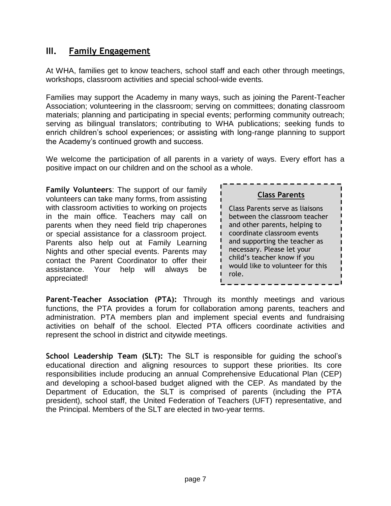## **III. Family Engagement**

At WHA, families get to know teachers, school staff and each other through meetings, workshops, classroom activities and special school-wide events*.* 

Families may support the Academy in many ways, such as joining the Parent-Teacher Association; volunteering in the classroom; serving on committees; donating classroom materials; planning and participating in special events; performing community outreach; serving as bilingual translators; contributing to WHA publications; seeking funds to enrich children's school experiences; or assisting with long-range planning to support the Academy's continued growth and success.

We welcome the participation of all parents in a variety of ways. Every effort has a positive impact on our children and on the school as a whole.

**Family Volunteers**: The support of our family volunteers can take many forms, from assisting with classroom activities to working on projects in the main office. Teachers may call on parents when they need field trip chaperones or special assistance for a classroom project. Parents also help out at Family Learning Nights and other special events. Parents may contact the Parent Coordinator to offer their assistance. Your help will always be appreciated!

| <b>Class Parents</b>                                                                                                                                                                                                                                                        |  |
|-----------------------------------------------------------------------------------------------------------------------------------------------------------------------------------------------------------------------------------------------------------------------------|--|
| Class Parents serve as liaisons<br>between the classroom teacher<br>and other parents, helping to<br>coordinate classroom events<br>and supporting the teacher as<br>necessary. Please let your<br>child's teacher know if you<br>would like to volunteer for this<br>role. |  |

**Parent-Teacher Association (PTA):** Through its monthly meetings and various functions, the PTA provides a forum for collaboration among parents, teachers and administration. PTA members plan and implement special events and fundraising activities on behalf of the school. Elected PTA officers coordinate activities and represent the school in district and citywide meetings.

**School Leadership Team (SLT):** The SLT is responsible for guiding the school's educational direction and aligning resources to support these priorities. Its core responsibilities include producing an annual Comprehensive Educational Plan (CEP) and developing a school-based budget aligned with the CEP. As mandated by the Department of Education, the SLT is comprised of parents (including the PTA president), school staff, the United Federation of Teachers (UFT) representative, and the Principal. Members of the SLT are elected in two-year terms.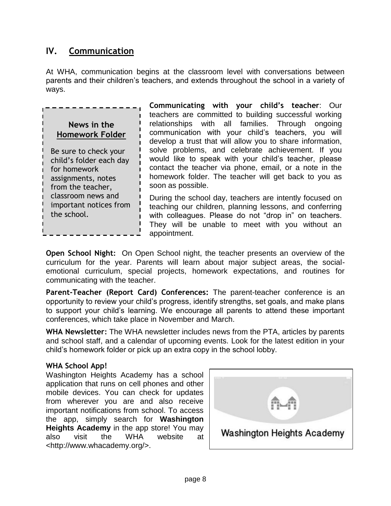## **IV. Communication**

At WHA, communication begins at the classroom level with conversations between parents and their children's teachers, and extends throughout the school in a variety of ways.

## **News in the Homework Folder**

Be sure to check your child's folder each day for homework assignments, notes from the teacher, classroom news and important notices from the school.

**Communicating with your child's teacher**: Our teachers are committed to building successful working relationships with all families. Through ongoing communication with your child's teachers, you will develop a trust that will allow you to share information, solve problems, and celebrate achievement. If you would like to speak with your child's teacher, please contact the teacher via phone, email, or a note in the homework folder. The teacher will get back to you as soon as possible.

During the school day, teachers are intently focused on teaching our children, planning lessons, and conferring with colleagues. Please do not "drop in" on teachers. They will be unable to meet with you without an appointment.

**Open School Night:** On Open School night, the teacher presents an overview of the curriculum for the year. Parents will learn about major subject areas, the socialemotional curriculum, special projects, homework expectations, and routines for communicating with the teacher.

**Parent-Teacher (Report Card) Conferences:** The parent-teacher conference is an opportunity to review your child's progress, identify strengths, set goals, and make plans to support your child's learning. We encourage all parents to attend these important conferences, which take place in November and March.

**WHA Newsletter:** The WHA newsletter includes news from the PTA, articles by parents and school staff, and a calendar of upcoming events. Look for the latest edition in your child's homework folder or pick up an extra copy in the school lobby.

#### **WHA School App!**

Washington Heights Academy has a school application that runs on cell phones and other mobile devices. You can check for updates from wherever you are and also receive important notifications from school. To access the app, simply search for **Washington Heights Academy** in the app store! You may also visit the WHA website at <http://www.whacademy.org/>.

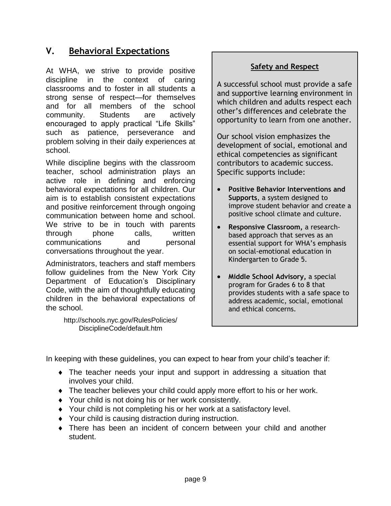## **V. Behavioral Expectations**

At WHA, we strive to provide positive discipline in the context of caring classrooms and to foster in all students a strong sense of respect—for themselves and for all members of the school community. Students are actively encouraged to apply practical "Life Skills" such as patience, perseverance and problem solving in their daily experiences at school.

While discipline begins with the classroom teacher, school administration plays an active role in defining and enforcing behavioral expectations for all children. Our aim is to establish consistent expectations and positive reinforcement through ongoing communication between home and school. We strive to be in touch with parents through phone calls, written communications and personal conversations throughout the year.

Administrators, teachers and staff members follow guidelines from the New York City Department of Education's Disciplinary Code, with the aim of thoughtfully educating children in the behavioral expectations of the school.

> <http://schools.nyc.gov/RulesPolicies/> DisciplineCode/default.htm

#### **Safety and Respect**

A successful school must provide a safe and supportive learning environment in which children and adults respect each other's differences and celebrate the opportunity to learn from one another.

Our school vision emphasizes the development of social, emotional and ethical competencies as significant contributors to academic success. Specific supports include:

- **Positive Behavior Interventions and Supports**, a system designed to improve student behavior and create a positive school climate and culture.
- **Responsive Classroom,** a researchbased approach that serves as an essential support for WHA's emphasis on social-emotional education in Kindergarten to Grade 5.
- **Middle School Advisory,** a special program for Grades 6 to 8 that provides students with a safe space to address academic, social, emotional and ethical concerns.

In keeping with these guidelines, you can expect to hear from your child's teacher if:

- The teacher needs your input and support in addressing a situation that involves your child.
- The teacher believes your child could apply more effort to his or her work.
- Your child is not doing his or her work consistently.
- ◆ Your child is not completing his or her work at a satisfactory level.
- Your child is causing distraction during instruction.
- There has been an incident of concern between your child and another student.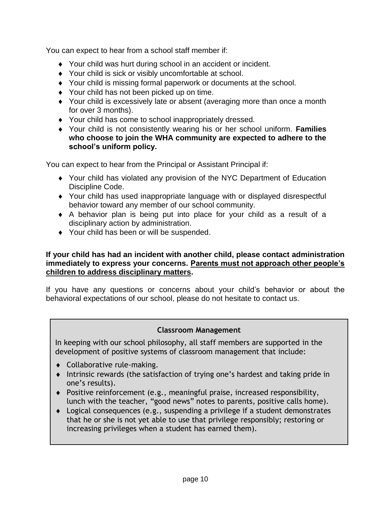You can expect to hear from a school staff member if:

- Your child was hurt during school in an accident or incident.
- Your child is sick or visibly uncomfortable at school.
- Your child is missing formal paperwork or documents at the school.
- ◆ Your child has not been picked up on time.
- Your child is excessively late or absent (averaging more than once a month for over 3 months).
- Your child has come to school inappropriately dressed.
- Your child is not consistently wearing his or her school uniform. **Families who choose to join the WHA community are expected to adhere to the school's uniform policy.**

You can expect to hear from the Principal or Assistant Principal if:

- Your child has violated any provision of the NYC Department of Education Discipline Code.
- Your child has used inappropriate language with or displayed disrespectful behavior toward any member of our school community.
- A behavior plan is being put into place for your child as a result of a disciplinary action by administration.
- ◆ Your child has been or will be suspended.

#### **If your child has had an incident with another child, please contact administration immediately to express your concerns. Parents must not approach other people's children to address disciplinary matters.**

If you have any questions or concerns about your child's behavior or about the behavioral expectations of our school, please do not hesitate to contact us.

#### **Classroom Management**

In keeping with our school philosophy, all staff members are supported in the development of positive systems of classroom management that include:

- Collaborative rule-making.
- Intrinsic rewards (the satisfaction of trying one's hardest and taking pride in one's results).
- Positive reinforcement (e.g., meaningful praise, increased responsibility, lunch with the teacher, "good news" notes to parents, positive calls home).
- Logical consequences (e.g., suspending a privilege if a student demonstrates that he or she is not yet able to use that privilege responsibly; restoring or increasing privileges when a student has earned them).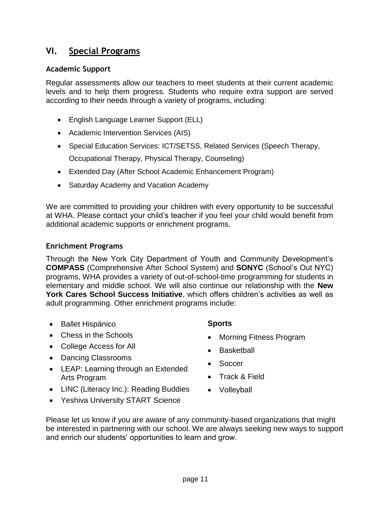#### **VI. Special Programs**

#### **Academic Support**

Regular assessments allow our teachers to meet students at their current academic levels and to help them progress. Students who require extra support are served according to their needs through a variety of programs, including:

- English Language Learner Support (ELL)
- Academic Intervention Services (AIS)
- Special Education Services: ICT/SETSS, Related Services (Speech Therapy,

Occupational Therapy, Physical Therapy, Counseling)

- Extended Day (After School Academic Enhancement Program)
- Saturday Academy and Vacation Academy

We are committed to providing your children with every opportunity to be successful at WHA. Please contact your child's teacher if you feel your child would benefit from additional academic supports or enrichment programs.

#### **Enrichment Programs**

Through the New York City Department of Youth and Community Development's **COMPASS** (Comprehensive After School System) and **SONYC** (School's Out NYC) programs, WHA provides a variety of out-of-school-time programming for students in elementary and middle school. We will also continue our relationship with the **New York Cares School Success Initiative**, which offers children's activities as well as adult programming. Other enrichment programs include:

- Ballet Hispánico
- Chess in the Schools
- College Access for All
- Dancing Classrooms
- LEAP: Learning through an Extended Arts Program
- LINC (Literacy Inc.): Reading Buddies
- Yeshiva University START Science

#### **Sports**

- Morning Fitness Program
- Basketball
- Soccer
- Track & Field
- Volleyball

Please let us know if you are aware of any community-based organizations that might be interested in partnering with our school. We are always seeking new ways to support and enrich our students' opportunities to learn and grow.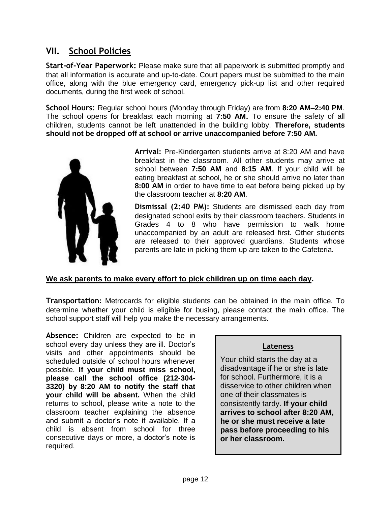## **VII. School Policies**

**Start-of-Year Paperwork:** Please make sure that all paperwork is submitted promptly and that all information is accurate and up-to-date. Court papers must be submitted to the main office, along with the blue emergency card, emergency pick-up list and other required documents, during the first week of school.

**School Hours**: Regular school hours (Monday through Friday) are from **8:20 AM–2:40 PM**. The school opens for breakfast each morning at **7:50 AM.** To ensure the safety of all children, students cannot be left unattended in the building lobby. **Therefore, students should not be dropped off at school or arrive unaccompanied before 7:50 AM.**



**Arrival:** Pre-Kindergarten students arrive at 8:20 AM and have breakfast in the classroom. All other students may arrive at school between **7:50 AM** and **8:15 AM**. If your child will be eating breakfast at school, he or she should arrive no later than **8:00 AM** in order to have time to eat before being picked up by the classroom teacher at **8:20 AM**.

**Dismissal (2:40 PM):** Students are dismissed each day from designated school exits by their classroom teachers. Students in Grades 4 to 8 who have permission to walk home unaccompanied by an adult are released first. Other students are released to their approved guardians. Students whose parents are late in picking them up are taken to the Cafeteria.

#### **We ask parents to make every effort to pick children up on time each day.**

**Transportation:** Metrocards for eligible students can be obtained in the main office. To determine whether your child is eligible for busing, please contact the main office. The school support staff will help you make the necessary arrangements.

**Absence:** Children are expected to be in school every day unless they are ill. Doctor's visits and other appointments should be scheduled outside of school hours whenever possible. **If your child must miss school, please call the school office (212-304- 3320) by 8:20 AM to notify the staff that your child will be absent.** When the child returns to school, please write a note to the classroom teacher explaining the absence and submit a doctor's note if available. If a child is absent from school for three consecutive days or more, a doctor's note is required.

#### **Lateness**

Your child starts the day at a disadvantage if he or she is late for school. Furthermore, it is a disservice to other children when one of their classmates is consistently tardy. **If your child arrives to school after 8:20 AM, he or she must receive a late pass before proceeding to his or her classroom.**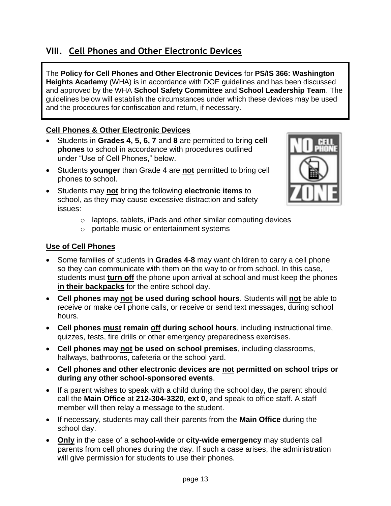## **VIII. Cell Phones and Other Electronic Devices**

The **Policy for Cell Phones and Other Electronic Devices** for **PS/IS 366: Washington Heights Academy** (WHA) is in accordance with DOE guidelines and has been discussed and approved by the WHA **School Safety Committee** and **School Leadership Team**. The guidelines below will establish the circumstances under which these devices may be used and the procedures for confiscation and return, if necessary.

#### **Cell Phones & Other Electronic Devices**

- Students in **Grades 4, 5, 6, 7** and **8** are permitted to bring **cell phones** to school in accordance with procedures outlined under "Use of Cell Phones," below.
- Students **younger** than Grade 4 are **not** permitted to bring cell phones to school.
- Students may **not** bring the following **electronic items** to school, as they may cause excessive distraction and safety issues:



- o laptops, tablets, iPads and other similar computing devices
- o portable music or entertainment systems

#### **Use of Cell Phones**

- Some families of students in **Grades 4-8** may want children to carry a cell phone so they can communicate with them on the way to or from school. In this case, students must **turn off** the phone upon arrival at school and must keep the phones **in their backpacks** for the entire school day.
- **Cell phones may not be used during school hours**. Students will **not** be able to receive or make cell phone calls, or receive or send text messages, during school hours.
- **Cell phones must remain off during school hours**, including instructional time, quizzes, tests, fire drills or other emergency preparedness exercises.
- **Cell phones may not be used on school premises**, including classrooms, hallways, bathrooms, cafeteria or the school yard.
- **Cell phones and other electronic devices are not permitted on school trips or during any other school-sponsored events**.
- If a parent wishes to speak with a child during the school day, the parent should call the **Main Office** at **212-304-3320**, **ext 0**, and speak to office staff. A staff member will then relay a message to the student.
- If necessary, students may call their parents from the **Main Office** during the school day.
- **Only** in the case of a **school-wide** or **city-wide emergency** may students call parents from cell phones during the day. If such a case arises, the administration will give permission for students to use their phones.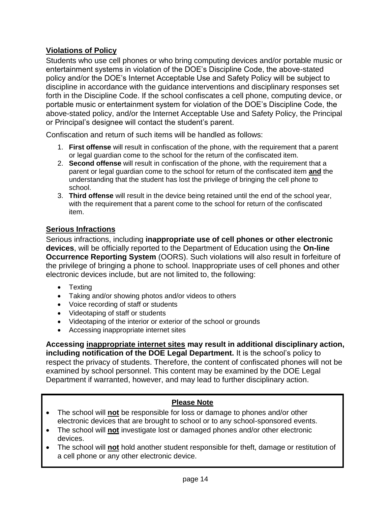#### **Violations of Policy**

Students who use cell phones or who bring computing devices and/or portable music or entertainment systems in violation of the DOE's Discipline Code, the above-stated policy and/or the DOE's Internet Acceptable Use and Safety Policy will be subject to discipline in accordance with the guidance interventions and disciplinary responses set forth in the Discipline Code. If the school confiscates a cell phone, computing device, or portable music or entertainment system for violation of the DOE's Discipline Code, the above-stated policy, and/or the Internet Acceptable Use and Safety Policy, the Principal or Principal's designee will contact the student's parent.

Confiscation and return of such items will be handled as follows:

- 1. **First offense** will result in confiscation of the phone, with the requirement that a parent or legal guardian come to the school for the return of the confiscated item.
- 2. **Second offense** will result in confiscation of the phone, with the requirement that a parent or legal guardian come to the school for return of the confiscated item **and** the understanding that the student has lost the privilege of bringing the cell phone to school.
- 3. **Third offense** will result in the device being retained until the end of the school year, with the requirement that a parent come to the school for return of the confiscated item.

#### **Serious Infractions**

Serious infractions, including **inappropriate use of cell phones or other electronic devices**, will be officially reported to the Department of Education using the **On-line Occurrence Reporting System** (OORS). Such violations will also result in forfeiture of the privilege of bringing a phone to school. Inappropriate uses of cell phones and other electronic devices include, but are not limited to, the following:

- Texting
- Taking and/or showing photos and/or videos to others
- Voice recording of staff or students
- Videotaping of staff or students
- Videotaping of the interior or exterior of the school or grounds
- Accessing inappropriate internet sites

**Accessing inappropriate internet sites may result in additional disciplinary action, including notification of the DOE Legal Department.** It is the school's policy to respect the privacy of students. Therefore, the content of confiscated phones will not be examined by school personnel. This content may be examined by the DOE Legal Department if warranted, however, and may lead to further disciplinary action.

#### **Please Note**

- The school will **not** be responsible for loss or damage to phones and/or other electronic devices that are brought to school or to any school-sponsored events.
- The school will **not** investigate lost or damaged phones and/or other electronic devices.
- The school will **not** hold another student responsible for theft, damage or restitution of a cell phone or any other electronic device.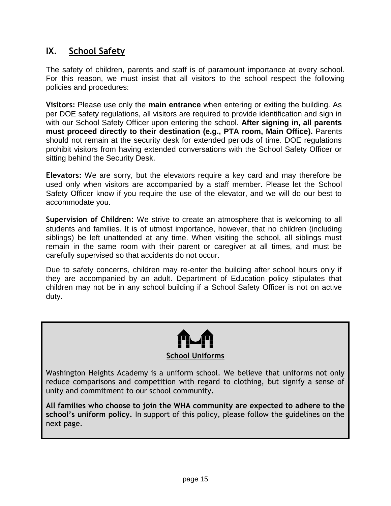## **IX. School Safety**

The safety of children, parents and staff is of paramount importance at every school. For this reason, we must insist that all visitors to the school respect the following policies and procedures:

**Visitors:** Please use only the **main entrance** when entering or exiting the building. As per DOE safety regulations, all visitors are required to provide identification and sign in with our School Safety Officer upon entering the school. **After signing in, all parents must proceed directly to their destination (e.g., PTA room, Main Office).** Parents should not remain at the security desk for extended periods of time. DOE regulations prohibit visitors from having extended conversations with the School Safety Officer or sitting behind the Security Desk.

**Elevators:** We are sorry, but the elevators require a key card and may therefore be used only when visitors are accompanied by a staff member. Please let the School Safety Officer know if you require the use of the elevator, and we will do our best to accommodate you.

**Supervision of Children:** We strive to create an atmosphere that is welcoming to all students and families. It is of utmost importance, however, that no children (including siblings) be left unattended at any time. When visiting the school, all siblings must remain in the same room with their parent or caregiver at all times, and must be carefully supervised so that accidents do not occur.

Due to safety concerns, children may re-enter the building after school hours only if they are accompanied by an adult. Department of Education policy stipulates that children may not be in any school building if a School Safety Officer is not on active duty.



Washington Heights Academy is a uniform school. We believe that uniforms not only reduce comparisons and competition with regard to clothing, but signify a sense of unity and commitment to our school community.

**All families who choose to join the WHA community are expected to adhere to the school's uniform policy.** In support of this policy, please follow the guidelines on the next page.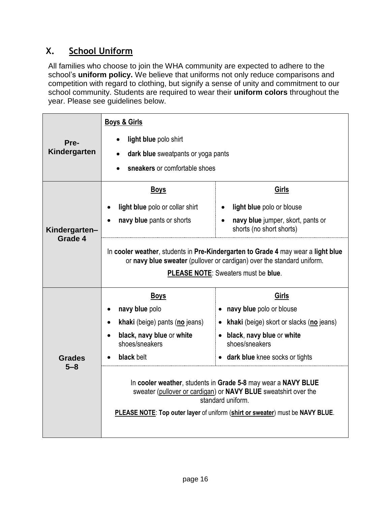## **X. School Uniform**

All families who choose to join the WHA community are expected to adhere to the school's **uniform policy.** We believe that uniforms not only reduce comparisons and competition with regard to clothing, but signify a sense of unity and commitment to our school community. Students are required to wear their **uniform colors** throughout the year. Please see guidelines below.

|               | <b>Boys &amp; Girls</b>                                                                                                                                    |                                                                                                                                                                                                                                               |  |  |
|---------------|------------------------------------------------------------------------------------------------------------------------------------------------------------|-----------------------------------------------------------------------------------------------------------------------------------------------------------------------------------------------------------------------------------------------|--|--|
| Pre-          | light blue polo shirt                                                                                                                                      |                                                                                                                                                                                                                                               |  |  |
| Kindergarten  | dark blue sweatpants or yoga pants                                                                                                                         |                                                                                                                                                                                                                                               |  |  |
|               | sneakers or comfortable shoes                                                                                                                              |                                                                                                                                                                                                                                               |  |  |
|               | <b>Boys</b>                                                                                                                                                | Girls                                                                                                                                                                                                                                         |  |  |
|               | light blue polo or collar shirt                                                                                                                            | light blue polo or blouse                                                                                                                                                                                                                     |  |  |
| Kindergarten- | navy blue pants or shorts                                                                                                                                  | navy blue jumper, skort, pants or<br>shorts (no short shorts)                                                                                                                                                                                 |  |  |
| Grade 4       | In cooler weather, students in Pre-Kindergarten to Grade 4 may wear a light blue<br>or navy blue sweater (pullover or cardigan) over the standard uniform. |                                                                                                                                                                                                                                               |  |  |
|               | PLEASE NOTE: Sweaters must be blue.                                                                                                                        |                                                                                                                                                                                                                                               |  |  |
|               | <b>Boys</b>                                                                                                                                                | <b>Girls</b>                                                                                                                                                                                                                                  |  |  |
|               | navy blue polo<br>٠                                                                                                                                        | • navy blue polo or blouse                                                                                                                                                                                                                    |  |  |
|               | khaki (beige) pants (no jeans)<br>$\bullet$                                                                                                                | • khaki (beige) skort or slacks (no jeans)                                                                                                                                                                                                    |  |  |
|               | black, navy blue or white<br>shoes/sneakers                                                                                                                | • black, navy blue or white<br>shoes/sneakers                                                                                                                                                                                                 |  |  |
| <b>Grades</b> | black belt                                                                                                                                                 | • dark blue knee socks or tights                                                                                                                                                                                                              |  |  |
| 5–8           |                                                                                                                                                            | In cooler weather, students in Grade 5-8 may wear a NAVY BLUE<br>sweater (pullover or cardigan) or <b>NAVY BLUE</b> sweatshirt over the<br>standard uniform.<br>PLEASE NOTE: Top outer layer of uniform (shirt or sweater) must be NAVY BLUE. |  |  |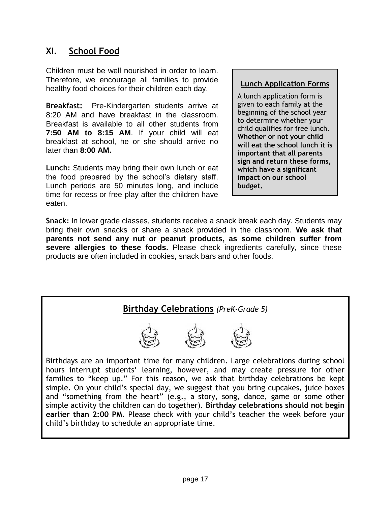## **XI. School Food**

Children must be well nourished in order to learn. Therefore, we encourage all families to provide healthy food choices for their children each day.

**Breakfast:** Pre-Kindergarten students arrive at 8:20 AM and have breakfast in the classroom. Breakfast is available to all other students from **7:50 AM to 8:15 AM**. If your child will eat breakfast at school, he or she should arrive no later than **8:00 AM.**

**Lunch:** Students may bring their own lunch or eat the food prepared by the school's dietary staff. Lunch periods are 50 minutes long, and include time for recess or free play after the children have eaten.

#### **Lunch Application Forms**

A lunch application form is given to each family at the beginning of the school year to determine whether your child qualifies for free lunch. **Whether or not your child will eat the school lunch it is important that all parents sign and return these forms, which have a significant impact on our school budget.**

**Snack:** In lower grade classes, students receive a snack break each day. Students may bring their own snacks or share a snack provided in the classroom. **We ask that parents not send any nut or peanut products, as some children suffer from severe allergies to these foods.** Please check ingredients carefully, since these products are often included in cookies, snack bars and other foods.

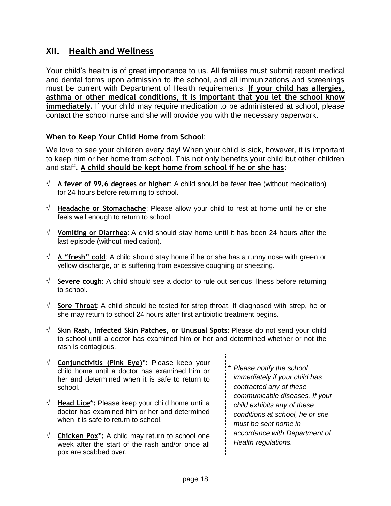## **XII. Health and Wellness**

Your child's health is of great importance to us. All families must submit recent medical and dental forms upon admission to the school, and all immunizations and screenings must be current with Department of Health requirements. **If your child has allergies, asthma or other medical conditions, it is important that you let the school know immediately.** If your child may require medication to be administered at school, please contact the school nurse and she will provide you with the necessary paperwork.

#### **When to Keep Your Child Home from School**:

We love to see your children every day! When your child is sick, however, it is important to keep him or her home from school. This not only benefits your child but other children and staff**. A child should be kept home from school if he or she has:**

- **A fever of 99.6 degrees or higher**: A child should be fever free (without medication) for 24 hours before returning to school.
- **Headache or Stomachache**: Please allow your child to rest at home until he or she feels well enough to return to school.
- **Vomiting or Diarrhea**: A child should stay home until it has been 24 hours after the last episode (without medication).
- $\sqrt{A}$  **A** "fresh" cold: A child should stay home if he or she has a runny nose with green or yellow discharge, or is suffering from excessive coughing or sneezing.
- **Severe cough**: A child should see a doctor to rule out serious illness before returning to school.
- $\sqrt{\phantom{a}}$  Sore Throat: A child should be tested for strep throat. If diagnosed with strep, he or she may return to school 24 hours after first antibiotic treatment begins.
- **Skin Rash, Infected Skin Patches, or Unusual Spots**: Please do not send your child to school until a doctor has examined him or her and determined whether or not the rash is contagious. \_\_\_\_\_\_\_\_\_\_\_\_\_\_\_\_\_\_\_\_\_
- **Conjunctivitis (Pink Eye)\*:** Please keep your child home until a doctor has examined him or her and determined when it is safe to return to school.
- $\sqrt{ }$  **Head Lice\*:** Please keep your child home until a doctor has examined him or her and determined when it is safe to return to school.
- $\sqrt{ }$  **Chicken Pox\*:** A child may return to school one week after the start of the rash and/or once all pox are scabbed over.

*\* Please notify the school immediately if your child has contracted any of these communicable diseases. If your child exhibits any of these conditions at school, he or she must be sent home in accordance with Department of Health regulations.*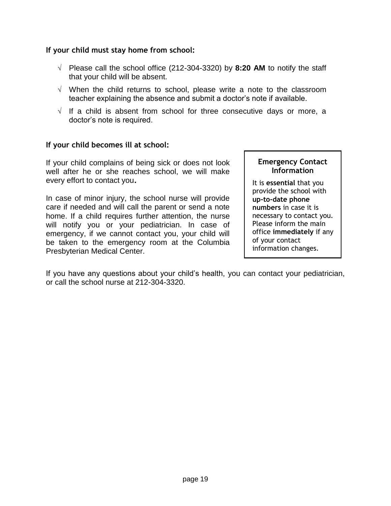#### **If your child must stay home from school:**

- $\sqrt{ }$  Please call the school office (212-304-3320) by **8:20 AM** to notify the staff that your child will be absent.
- $\sqrt{ }$  When the child returns to school, please write a note to the classroom teacher explaining the absence and submit a doctor's note if available.
- $\sqrt{ }$  If a child is absent from school for three consecutive days or more, a doctor's note is required.

#### **If your child becomes ill at school:**

If your child complains of being sick or does not look well after he or she reaches school, we will make every effort to contact you**.** 

In case of minor injury, the school nurse will provide care if needed and will call the parent or send a note home. If a child requires further attention, the nurse will notify you or your pediatrician. In case of emergency, if we cannot contact you, your child will be taken to the emergency room at the Columbia Presbyterian Medical Center.

#### **Emergency Contact Information**

It is **essential** that you provide the school with **up-to-date phone numbers** in case it is necessary to contact you. Please inform the main office **immediately** if any of your contact information changes.

If you have any questions about your child's health, you can contact your pediatrician, or call the school nurse at 212-304-3320.